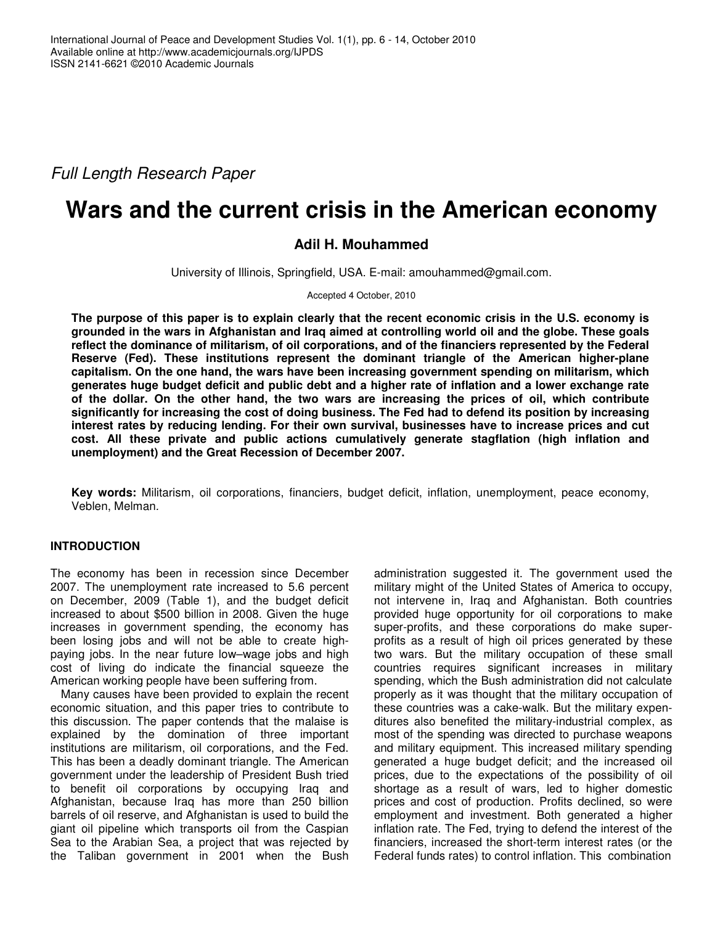*Full Length Research Paper*

# **Wars and the current crisis in the American economy**

## **Adil H. Mouhammed**

University of Illinois, Springfield, USA. E-mail: amouhammed@gmail.com.

Accepted 4 October, 2010

The purpose of this paper is to explain clearly that the recent economic crisis in the U.S. economy is grounded in the wars in Afghanistan and Iraq aimed at controlling world oil and the globe. These goals **reflect the dominance of militarism, of oil corporations, and of the financiers represented by the Federal Reserve (Fed). These institutions represent the dominant triangle of the American higher-plane capitalism. On the one hand, the wars have been increasing government spending on militarism, which** generates huge budget deficit and public debt and a higher rate of inflation and a lower exchange rate **of the dollar. On the other hand, the two wars are increasing the prices of oil, which contribute significantly for increasing the cost of doing business. The Fed had to defend its position by increasing interest rates by reducing lending. For their own survival, businesses have to increase prices and cut cost. All these private and public actions cumulatively generate stagflation (high inflation and unemployment) and the Great Recession of December 2007.**

**Key words:** Militarism, oil corporations, financiers, budget deficit, inflation, unemployment, peace economy, Veblen, Melman*.*

## **INTRODUCTION**

The economy has been in recession since December 2007. The unemployment rate increased to 5.6 percent on December, 2009 (Table 1), and the budget deficit increased to about \$500 billion in 2008. Given the huge increases in government spending, the economy has been losing jobs and will not be able to create highpaying jobs. In the near future low–wage jobs and high cost of living do indicate the financial squeeze the American working people have been suffering from.

Many causes have been provided to explain the recent economic situation, and this paper tries to contribute to this discussion. The paper contends that the malaise is explained by the domination of three important institutions are militarism, oil corporations, and the Fed. This has been a deadly dominant triangle. The American government under the leadership of President Bush tried to benefit oil corporations by occupying Iraq and Afghanistan, because Iraq has more than 250 billion barrels of oil reserve, and Afghanistan is used to build the giant oil pipeline which transports oil from the Caspian Sea to the Arabian Sea, a project that was rejected by the Taliban government in 2001 when the Bush

administration suggested it. The government used the military might of the United States of America to occupy, not intervene in, Iraq and Afghanistan. Both countries provided huge opportunity for oil corporations to make super-profits, and these corporations do make superprofits as a result of high oil prices generated by these two wars. But the military occupation of these small countries requires significant increases in military spending, which the Bush administration did not calculate properly as it was thought that the military occupation of these countries was a cake-walk. But the military expenditures also benefited the military-industrial complex, as most of the spending was directed to purchase weapons and military equipment. This increased military spending generated a huge budget deficit; and the increased oil prices, due to the expectations of the possibility of oil shortage as a result of wars, led to higher domestic prices and cost of production. Profits declined, so were employment and investment. Both generated a higher inflation rate. The Fed, trying to defend the interest of the financiers, increased the short-term interest rates (or the Federal funds rates) to control inflation. This combination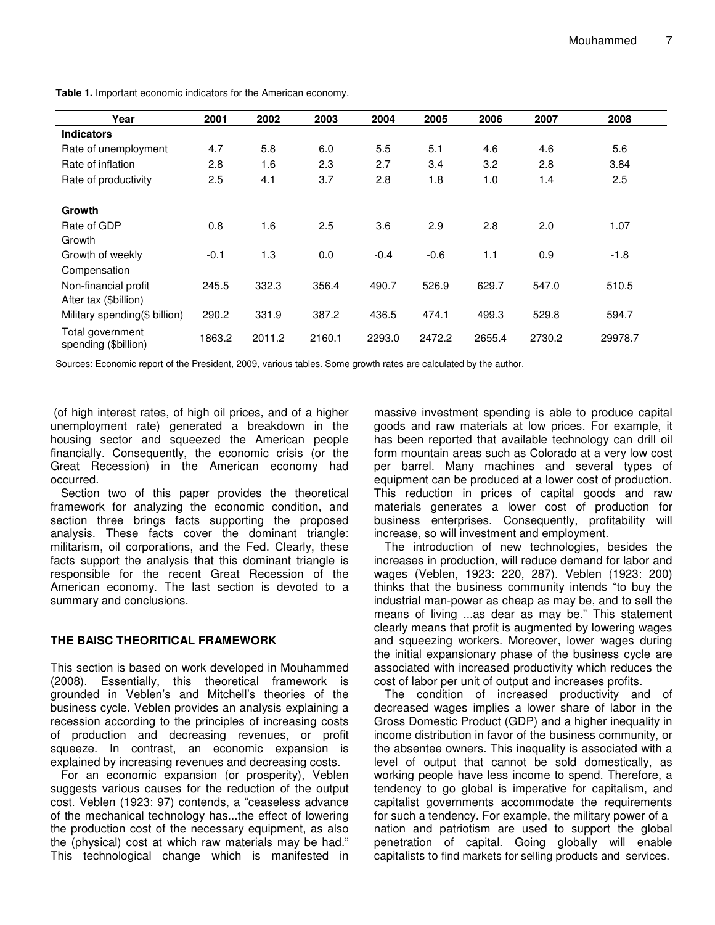| Year                                     | 2001   | 2002   | 2003   | 2004   | 2005   | 2006   | 2007   | 2008    |
|------------------------------------------|--------|--------|--------|--------|--------|--------|--------|---------|
| <b>Indicators</b>                        |        |        |        |        |        |        |        |         |
| Rate of unemployment                     | 4.7    | 5.8    | 6.0    | 5.5    | 5.1    | 4.6    | 4.6    | 5.6     |
| Rate of inflation                        | 2.8    | 1.6    | 2.3    | 2.7    | 3.4    | 3.2    | 2.8    | 3.84    |
| Rate of productivity                     | 2.5    | 4.1    | 3.7    | 2.8    | 1.8    | 1.0    | 1.4    | 2.5     |
| Growth                                   |        |        |        |        |        |        |        |         |
| Rate of GDP                              | 0.8    | 1.6    | 2.5    | 3.6    | 2.9    | 2.8    | 2.0    | 1.07    |
| Growth                                   |        |        |        |        |        |        |        |         |
| Growth of weekly                         | $-0.1$ | 1.3    | 0.0    | $-0.4$ | $-0.6$ | 1.1    | 0.9    | $-1.8$  |
| Compensation                             |        |        |        |        |        |        |        |         |
| Non-financial profit                     | 245.5  | 332.3  | 356.4  | 490.7  | 526.9  | 629.7  | 547.0  | 510.5   |
| After tax (\$billion)                    |        |        |        |        |        |        |        |         |
| Military spending(\$ billion)            | 290.2  | 331.9  | 387.2  | 436.5  | 474.1  | 499.3  | 529.8  | 594.7   |
| Total government<br>spending (\$billion) | 1863.2 | 2011.2 | 2160.1 | 2293.0 | 2472.2 | 2655.4 | 2730.2 | 29978.7 |

**Table 1.** Important economic indicators for the American economy.

Sources: Economic report of the President, 2009, various tables. Some growth rates are calculated by the author.

(of high interest rates, of high oil prices, and of a higher unemployment rate) generated a breakdown in the housing sector and squeezed the American people financially. Consequently, the economic crisis (or the Great Recession) in the American economy had occurred.

Section two of this paper provides the theoretical framework for analyzing the economic condition, and section three brings facts supporting the proposed analysis. These facts cover the dominant triangle: militarism, oil corporations, and the Fed. Clearly, these facts support the analysis that this dominant triangle is responsible for the recent Great Recession of the American economy. The last section is devoted to a summary and conclusions.

#### **THE BAISC THEORITICAL FRAMEWORK**

This section is based on work developed in Mouhammed (2008). Essentially, this theoretical framework is grounded in Veblen's and Mitchell's theories of the business cycle. Veblen provides an analysis explaining a recession according to the principles of increasing costs of production and decreasing revenues, or profit squeeze. In contrast, an economic expansion is explained by increasing revenues and decreasing costs.

For an economic expansion (or prosperity), Veblen suggests various causes for the reduction of the output cost. Veblen (1923: 97) contends, a "ceaseless advance of the mechanical technology has...the effect of lowering the production cost of the necessary equipment, as also the (physical) cost at which raw materials may be had." This technological change which is manifested in

massive investment spending is able to produce capital goods and raw materials at low prices. For example, it has been reported that available technology can drill oil form mountain areas such as Colorado at a very low cost per barrel. Many machines and several types of equipment can be produced at a lower cost of production. This reduction in prices of capital goods and raw materials generates a lower cost of production for business enterprises. Consequently, profitability will increase, so will investment and employment.

The introduction of new technologies, besides the increases in production, will reduce demand for labor and wages (Veblen, 1923: 220, 287). Veblen (1923: 200) thinks that the business community intends "to buy the industrial man-power as cheap as may be, and to sell the means of living ...as dear as may be." This statement clearly means that profit is augmented by lowering wages and squeezing workers. Moreover, lower wages during the initial expansionary phase of the business cycle are associated with increased productivity which reduces the cost of labor per unit of output and increases profits.

The condition of increased productivity and of decreased wages implies a lower share of labor in the Gross Domestic Product (GDP) and a higher inequality in income distribution in favor of the business community, or the absentee owners. This inequality is associated with a level of output that cannot be sold domestically, as working people have less income to spend. Therefore, a tendency to go global is imperative for capitalism, and capitalist governments accommodate the requirements for such a tendency. For example, the military power of a nation and patriotism are used to support the global penetration of capital. Going globally will enable capitalists to find markets for selling products and services.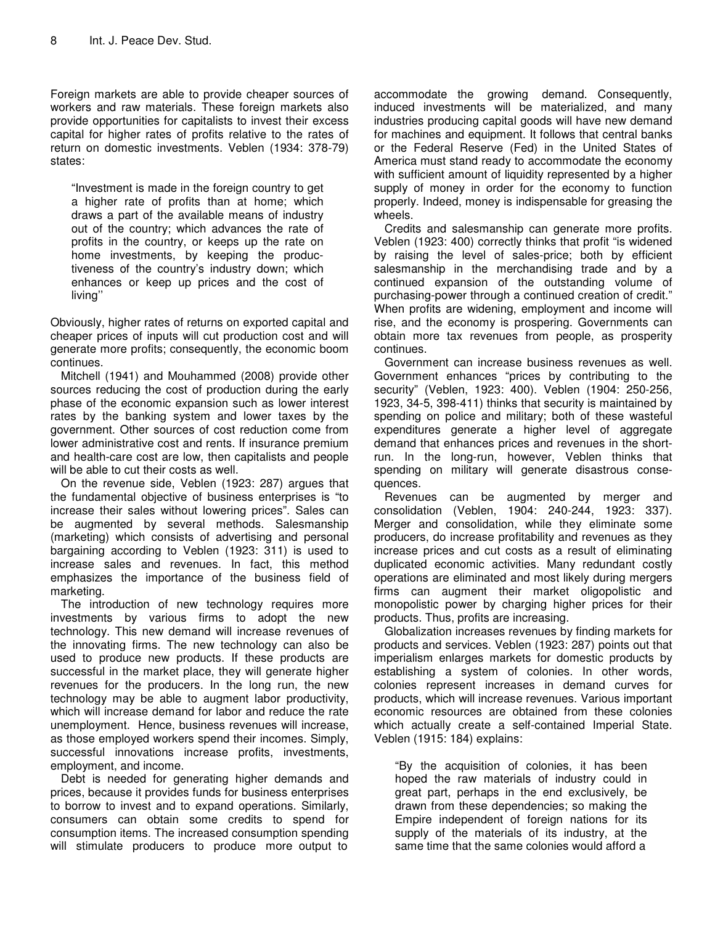Foreign markets are able to provide cheaper sources of workers and raw materials. These foreign markets also provide opportunities for capitalists to invest their excess capital for higher rates of profits relative to the rates of return on domestic investments. Veblen (1934: 378-79) states:

"Investment is made in the foreign country to get a higher rate of profits than at home; which draws a part of the available means of industry out of the country; which advances the rate of profits in the country, or keeps up the rate on home investments, by keeping the productiveness of the country's industry down; which enhances or keep up prices and the cost of living''

Obviously, higher rates of returns on exported capital and cheaper prices of inputs will cut production cost and will generate more profits; consequently, the economic boom continues.

Mitchell (1941) and Mouhammed (2008) provide other sources reducing the cost of production during the early phase of the economic expansion such as lower interest rates by the banking system and lower taxes by the government. Other sources of cost reduction come from lower administrative cost and rents. If insurance premium and health-care cost are low, then capitalists and people will be able to cut their costs as well.

On the revenue side, Veblen (1923: 287) argues that the fundamental objective of business enterprises is "to increase their sales without lowering prices". Sales can be augmented by several methods. Salesmanship (marketing) which consists of advertising and personal bargaining according to Veblen (1923: 311) is used to increase sales and revenues. In fact, this method emphasizes the importance of the business field of marketing.

The introduction of new technology requires more investments by various firms to adopt the new technology. This new demand will increase revenues of the innovating firms. The new technology can also be used to produce new products. If these products are successful in the market place, they will generate higher revenues for the producers. In the long run, the new technology may be able to augment labor productivity, which will increase demand for labor and reduce the rate unemployment. Hence, business revenues will increase, as those employed workers spend their incomes. Simply, successful innovations increase profits, investments, employment, and income.

Debt is needed for generating higher demands and prices, because it provides funds for business enterprises to borrow to invest and to expand operations. Similarly, consumers can obtain some credits to spend for consumption items. The increased consumption spending will stimulate producers to produce more output to

accommodate the growing demand. Consequently, induced investments will be materialized, and many industries producing capital goods will have new demand for machines and equipment. It follows that central banks or the Federal Reserve (Fed) in the United States of America must stand ready to accommodate the economy with sufficient amount of liquidity represented by a higher supply of money in order for the economy to function properly. Indeed, money is indispensable for greasing the wheels.

Credits and salesmanship can generate more profits. Veblen (1923: 400) correctly thinks that profit "is widened by raising the level of sales-price; both by efficient salesmanship in the merchandising trade and by a continued expansion of the outstanding volume of purchasing-power through a continued creation of credit." When profits are widening, employment and income will rise, and the economy is prospering. Governments can obtain more tax revenues from people, as prosperity continues.

Government can increase business revenues as well. Government enhances "prices by contributing to the security" (Veblen, 1923: 400). Veblen (1904: 250-256, 1923, 34-5, 398-411) thinks that security is maintained by spending on police and military; both of these wasteful expenditures generate a higher level of aggregate demand that enhances prices and revenues in the shortrun. In the long-run, however, Veblen thinks that spending on military will generate disastrous consequences.

Revenues can be augmented by merger and consolidation (Veblen, 1904: 240-244, 1923: 337). Merger and consolidation, while they eliminate some producers, do increase profitability and revenues as they increase prices and cut costs as a result of eliminating duplicated economic activities. Many redundant costly operations are eliminated and most likely during mergers firms can augment their market oligopolistic and monopolistic power by charging higher prices for their products. Thus, profits are increasing.

Globalization increases revenues by finding markets for products and services. Veblen (1923: 287) points out that imperialism enlarges markets for domestic products by establishing a system of colonies. In other words, colonies represent increases in demand curves for products, which will increase revenues. Various important economic resources are obtained from these colonies which actually create a self-contained Imperial State. Veblen (1915: 184) explains:

"By the acquisition of colonies, it has been hoped the raw materials of industry could in great part, perhaps in the end exclusively, be drawn from these dependencies; so making the Empire independent of foreign nations for its supply of the materials of its industry, at the same time that the same colonies would afford a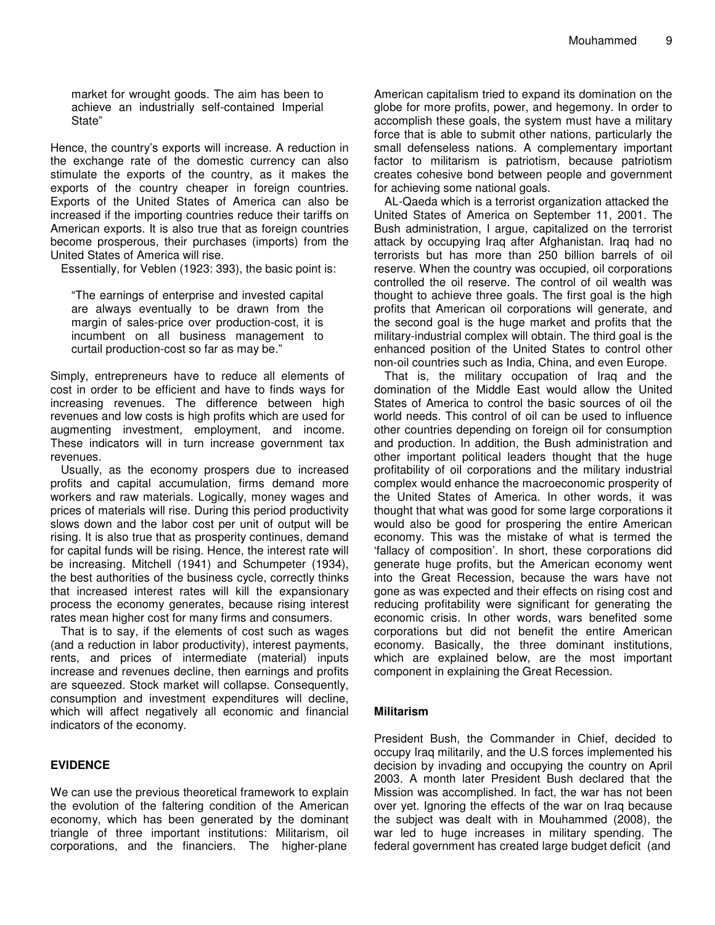market for wrought goods. The aim has been to achieve an industrially self-contained Imperial State"

Hence, the country's exports will increase. A reduction in the exchange rate of the domestic currency can also stimulate the exports of the country, as it makes the exports of the country cheaper in foreign countries. Exports of the United States of America can also be increased if the importing countries reduce their tariffs on American exports. It is also true that as foreign countries become prosperous, their purchases (imports) from the United States of America will rise.

Essentially, for Veblen (1923: 393), the basic point is:

"The earnings of enterprise and invested capital are always eventually to be drawn from the margin of sales-price over production-cost, it is incumbent on all business management to curtail production-cost so far as may be."

Simply, entrepreneurs have to reduce all elements of cost in order to be efficient and have to finds ways for increasing revenues. The difference between high revenues and low costs is high profits which are used for augmenting investment, employment, and income. These indicators will in turn increase government tax revenues.

Usually, as the economy prospers due to increased profits and capital accumulation, firms demand more workers and raw materials. Logically, money wages and prices of materials will rise. During this period productivity slows down and the labor cost per unit of output will be rising. It is also true that as prosperity continues, demand for capital funds will be rising. Hence, the interest rate will be increasing. Mitchell (1941) and Schumpeter (1934), the best authorities of the business cycle, correctly thinks that increased interest rates will kill the expansionary process the economy generates, because rising interest rates mean higher cost for many firms and consumers.

That is to say, if the elements of cost such as wages (and a reduction in labor productivity), interest payments, rents, and prices of intermediate (material) inputs increase and revenues decline, then earnings and profits are squeezed. Stock market will collapse. Consequently, consumption and investment expenditures will decline, which will affect negatively all economic and financial indicators of the economy.

## **EVIDENCE**

We can use the previous theoretical framework to explain the evolution of the faltering condition of the American economy, which has been generated by the dominant triangle of three important institutions: Militarism, oil corporations, and the financiers. The higher-plane

American capitalism tried to expand its domination on the globe for more profits, power, and hegemony. In order to accomplish these goals, the system must have a military force that is able to submit other nations, particularly the small defenseless nations. A complementary important factor to militarism is patriotism, because patriotism creates cohesive bond between people and government for achieving some national goals.

AL-Qaeda which is a terrorist organization attacked the United States of America on September 11, 2001. The Bush administration, I argue, capitalized on the terrorist attack by occupying Iraq after Afghanistan. Iraq had no terrorists but has more than 250 billion barrels of oil reserve. When the country was occupied, oil corporations controlled the oil reserve. The control of oil wealth was thought to achieve three goals. The first goal is the high profits that American oil corporations will generate, and the second goal is the huge market and profits that the military-industrial complex will obtain. The third goal is the enhanced position of the United States to control other non-oil countries such as India, China, and even Europe.

That is, the military occupation of Iraq and the domination of the Middle East would allow the United States of America to control the basic sources of oil the world needs. This control of oil can be used to influence other countries depending on foreign oil for consumption and production. In addition, the Bush administration and other important political leaders thought that the huge profitability of oil corporations and the military industrial complex would enhance the macroeconomic prosperity of the United States of America. In other words, it was thought that what was good for some large corporations it would also be good for prospering the entire American economy. This was the mistake of what is termed the 'fallacy of composition'. In short, these corporations did generate huge profits, but the American economy went into the Great Recession, because the wars have not gone as was expected and their effects on rising cost and reducing profitability were significant for generating the economic crisis. In other words, wars benefited some corporations but did not benefit the entire American economy. Basically, the three dominant institutions, which are explained below, are the most important component in explaining the Great Recession.

#### **Militarism**

President Bush, the Commander in Chief, decided to occupy Iraq militarily, and the U.S forces implemented his decision by invading and occupying the country on April 2003. A month later President Bush declared that the Mission was accomplished. In fact, the war has not been over yet. Ignoring the effects of the war on Iraq because the subject was dealt with in Mouhammed (2008), the war led to huge increases in military spending. The federal government has created large budget deficit (and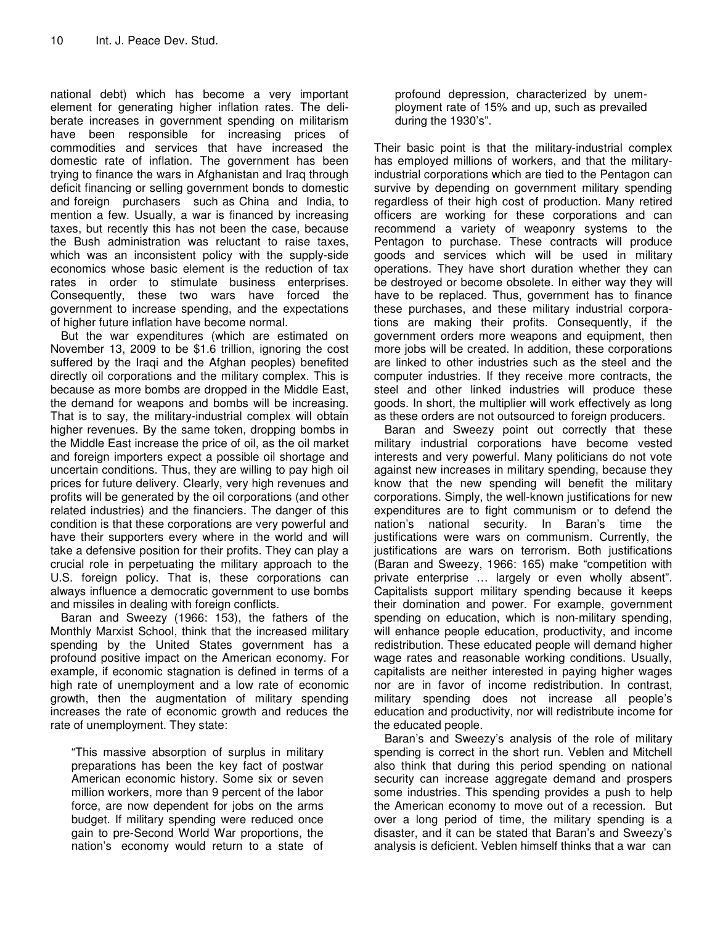national debt) which has become a very important element for generating higher inflation rates. The deliberate increases in government spending on militarism have been responsible for increasing prices of commodities and services that have increased the domestic rate of inflation. The government has been trying to finance the wars in Afghanistan and Iraq through deficit financing or selling government bonds to domestic and foreign purchasers such as China and India, to mention a few. Usually, a war is financed by increasing taxes, but recently this has not been the case, because the Bush administration was reluctant to raise taxes, which was an inconsistent policy with the supply-side economics whose basic element is the reduction of tax rates in order to stimulate business enterprises. Consequently, these two wars have forced the government to increase spending, and the expectations of higher future inflation have become normal.

But the war expenditures (which are estimated on November 13, 2009 to be \$1.6 trillion, ignoring the cost suffered by the Iraqi and the Afghan peoples) benefited directly oil corporations and the military complex. This is because as more bombs are dropped in the Middle East, the demand for weapons and bombs will be increasing. That is to say, the military-industrial complex will obtain higher revenues. By the same token, dropping bombs in the Middle East increase the price of oil, as the oil market and foreign importers expect a possible oil shortage and uncertain conditions. Thus, they are willing to pay high oil prices for future delivery. Clearly, very high revenues and profits will be generated by the oil corporations (and other related industries) and the financiers. The danger of this condition is that these corporations are very powerful and have their supporters every where in the world and will take a defensive position for their profits. They can play a crucial role in perpetuating the military approach to the U.S. foreign policy. That is, these corporations can always influence a democratic government to use bombs and missiles in dealing with foreign conflicts.

Baran and Sweezy (1966: 153), the fathers of the Monthly Marxist School, think that the increased military spending by the United States government has a profound positive impact on the American economy. For example, if economic stagnation is defined in terms of a high rate of unemployment and a low rate of economic growth, then the augmentation of military spending increases the rate of economic growth and reduces the rate of unemployment. They state:

"This massive absorption of surplus in military preparations has been the key fact of postwar American economic history. Some six or seven million workers, more than 9 percent of the labor force, are now dependent for jobs on the arms budget. If military spending were reduced once gain to pre-Second World War proportions, the nation's economy would return to a state of

profound depression, characterized by unemployment rate of 15% and up, such as prevailed during the 1930's".

Their basic point is that the military-industrial complex has employed millions of workers, and that the militaryindustrial corporations which are tied to the Pentagon can survive by depending on government military spending regardless of their high cost of production. Many retired officers are working for these corporations and can recommend a variety of weaponry systems to the Pentagon to purchase. These contracts will produce goods and services which will be used in military operations. They have short duration whether they can be destroyed or become obsolete. In either way they will have to be replaced. Thus, government has to finance these purchases, and these military industrial corporations are making their profits. Consequently, if the government orders more weapons and equipment, then more jobs will be created. In addition, these corporations are linked to other industries such as the steel and the computer industries. If they receive more contracts, the steel and other linked industries will produce these goods. In short, the multiplier will work effectively as long as these orders are not outsourced to foreign producers.

Baran and Sweezy point out correctly that these military industrial corporations have become vested interests and very powerful. Many politicians do not vote against new increases in military spending, because they know that the new spending will benefit the military corporations. Simply, the well-known justifications for new expenditures are to fight communism or to defend the nation's national security. In Baran's time the justifications were wars on communism. Currently, the justifications are wars on terrorism. Both justifications (Baran and Sweezy, 1966: 165) make "competition with private enterprise … largely or even wholly absent". Capitalists support military spending because it keeps their domination and power. For example, government spending on education, which is non-military spending, will enhance people education, productivity, and income redistribution. These educated people will demand higher wage rates and reasonable working conditions. Usually, capitalists are neither interested in paying higher wages nor are in favor of income redistribution. In contrast, military spending does not increase all people's education and productivity, nor will redistribute income for the educated people.

Baran's and Sweezy's analysis of the role of military spending is correct in the short run. Veblen and Mitchell also think that during this period spending on national security can increase aggregate demand and prospers some industries. This spending provides a push to help the American economy to move out of a recession. But over a long period of time, the military spending is a disaster, and it can be stated that Baran's and Sweezy's analysis is deficient. Veblen himself thinks that a war can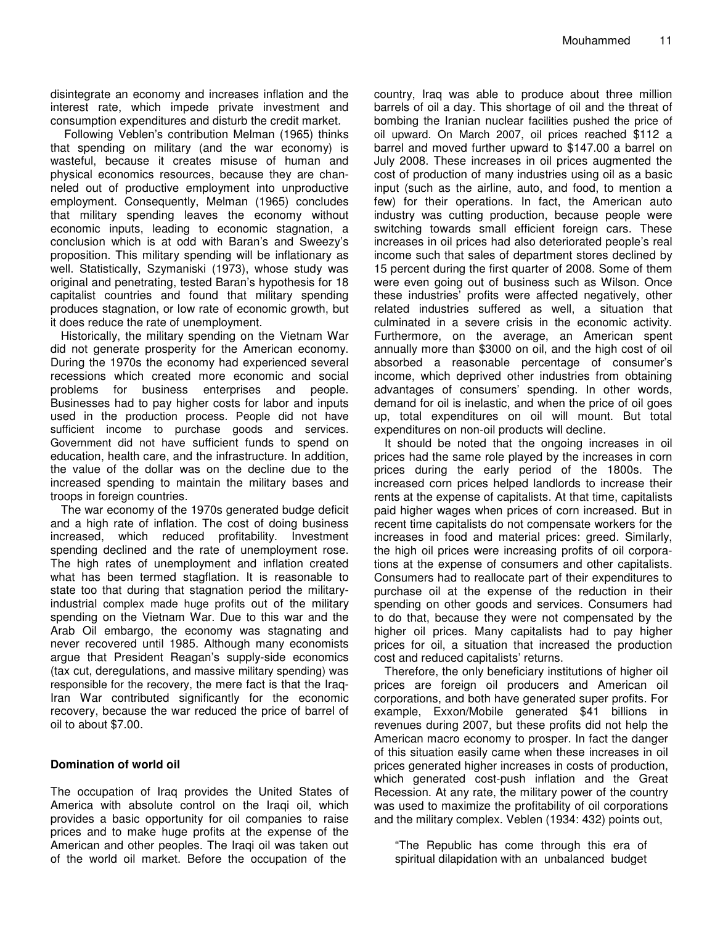disintegrate an economy and increases inflation and the interest rate, which impede private investment and consumption expenditures and disturb the credit market.

Following Veblen's contribution Melman (1965) thinks that spending on military (and the war economy) is wasteful, because it creates misuse of human and physical economics resources, because they are channeled out of productive employment into unproductive employment. Consequently, Melman (1965) concludes that military spending leaves the economy without economic inputs, leading to economic stagnation, a conclusion which is at odd with Baran's and Sweezy's proposition. This military spending will be inflationary as well. Statistically, Szymaniski (1973), whose study was original and penetrating, tested Baran's hypothesis for 18 capitalist countries and found that military spending produces stagnation, or low rate of economic growth, but it does reduce the rate of unemployment.

Historically, the military spending on the Vietnam War did not generate prosperity for the American economy. During the 1970s the economy had experienced several recessions which created more economic and social problems for business enterprises and people. Businesses had to pay higher costs for labor and inputs used in the production process. People did not have sufficient income to purchase goods and services. Government did not have sufficient funds to spend on education, health care, and the infrastructure. In addition, the value of the dollar was on the decline due to the increased spending to maintain the military bases and troops in foreign countries.

The war economy of the 1970s generated budge deficit and a high rate of inflation. The cost of doing business increased, which reduced profitability. Investment spending declined and the rate of unemployment rose. The high rates of unemployment and inflation created what has been termed stagflation. It is reasonable to state too that during that stagnation period the militaryindustrial complex made huge profits out of the military spending on the Vietnam War. Due to this war and the Arab Oil embargo, the economy was stagnating and never recovered until 1985. Although many economists argue that President Reagan's supply-side economics (tax cut, deregulations, and massive military spending) was responsible for the recovery, the mere fact is that the Iraq-Iran War contributed significantly for the economic recovery, because the war reduced the price of barrel of oil to about \$7.00.

#### **Domination of world oil**

The occupation of Iraq provides the United States of America with absolute control on the Iraqi oil, which provides a basic opportunity for oil companies to raise prices and to make huge profits at the expense of the American and other peoples. The Iraqi oil was taken out of the world oil market. Before the occupation of the

country, Iraq was able to produce about three million barrels of oil a day. This shortage of oil and the threat of bombing the Iranian nuclear facilities pushed the price of oil upward. On March 2007, oil prices reached \$112 a barrel and moved further upward to \$147.00 a barrel on July 2008. These increases in oil prices augmented the cost of production of many industries using oil as a basic input (such as the airline, auto, and food, to mention a few) for their operations. In fact, the American auto industry was cutting production, because people were switching towards small efficient foreign cars. These increases in oil prices had also deteriorated people's real income such that sales of department stores declined by 15 percent during the first quarter of 2008. Some of them were even going out of business such as Wilson. Once these industries' profits were affected negatively, other related industries suffered as well, a situation that culminated in a severe crisis in the economic activity. Furthermore, on the average, an American spent annually more than \$3000 on oil, and the high cost of oil absorbed a reasonable percentage of consumer's income, which deprived other industries from obtaining advantages of consumers' spending. In other words, demand for oil is inelastic, and when the price of oil goes up, total expenditures on oil will mount. But total expenditures on non-oil products will decline.

It should be noted that the ongoing increases in oil prices had the same role played by the increases in corn prices during the early period of the 1800s. The increased corn prices helped landlords to increase their rents at the expense of capitalists. At that time, capitalists paid higher wages when prices of corn increased. But in recent time capitalists do not compensate workers for the increases in food and material prices: greed. Similarly, the high oil prices were increasing profits of oil corporations at the expense of consumers and other capitalists. Consumers had to reallocate part of their expenditures to purchase oil at the expense of the reduction in their spending on other goods and services. Consumers had to do that, because they were not compensated by the higher oil prices. Many capitalists had to pay higher prices for oil, a situation that increased the production cost and reduced capitalists' returns.

Therefore, the only beneficiary institutions of higher oil prices are foreign oil producers and American oil corporations, and both have generated super profits. For example, Exxon/Mobile generated \$41 billions in revenues during 2007, but these profits did not help the American macro economy to prosper. In fact the danger of this situation easily came when these increases in oil prices generated higher increases in costs of production, which generated cost-push inflation and the Great Recession. At any rate, the military power of the country was used to maximize the profitability of oil corporations and the military complex. Veblen (1934: 432) points out,

"The Republic has come through this era of spiritual dilapidation with an unbalanced budget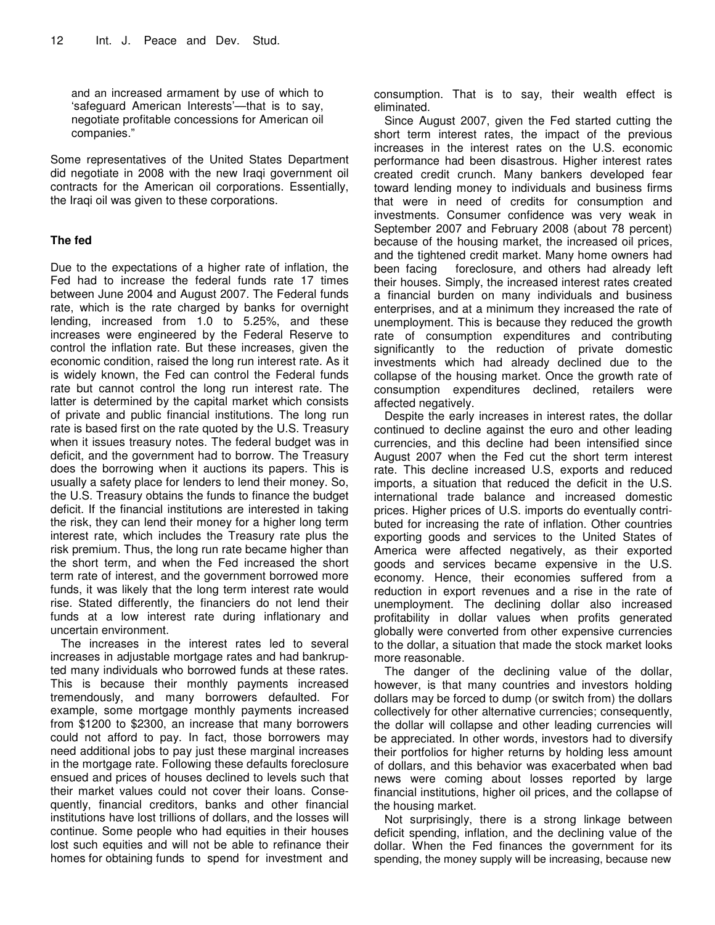and an increased armament by use of which to 'safeguard American Interests'—that is to say, negotiate profitable concessions for American oil companies."

Some representatives of the United States Department did negotiate in 2008 with the new Iraqi government oil contracts for the American oil corporations. Essentially, the Iraqi oil was given to these corporations.

### **The fed**

Due to the expectations of a higher rate of inflation, the Fed had to increase the federal funds rate 17 times between June 2004 and August 2007. The Federal funds rate, which is the rate charged by banks for overnight lending, increased from 1.0 to 5.25%, and these increases were engineered by the Federal Reserve to control the inflation rate. But these increases, given the economic condition, raised the long run interest rate. As it is widely known, the Fed can control the Federal funds rate but cannot control the long run interest rate. The latter is determined by the capital market which consists of private and public financial institutions. The long run rate is based first on the rate quoted by the U.S. Treasury when it issues treasury notes. The federal budget was in deficit, and the government had to borrow. The Treasury does the borrowing when it auctions its papers. This is usually a safety place for lenders to lend their money. So, the U.S. Treasury obtains the funds to finance the budget deficit. If the financial institutions are interested in taking the risk, they can lend their money for a higher long term interest rate, which includes the Treasury rate plus the risk premium. Thus, the long run rate became higher than the short term, and when the Fed increased the short term rate of interest, and the government borrowed more funds, it was likely that the long term interest rate would rise. Stated differently, the financiers do not lend their funds at a low interest rate during inflationary and uncertain environment.

The increases in the interest rates led to several increases in adjustable mortgage rates and had bankrupted many individuals who borrowed funds at these rates. This is because their monthly payments increased tremendously, and many borrowers defaulted. For example, some mortgage monthly payments increased from \$1200 to \$2300, an increase that many borrowers could not afford to pay. In fact, those borrowers may need additional jobs to pay just these marginal increases in the mortgage rate. Following these defaults foreclosure ensued and prices of houses declined to levels such that their market values could not cover their loans. Consequently, financial creditors, banks and other financial institutions have lost trillions of dollars, and the losses will continue. Some people who had equities in their houses lost such equities and will not be able to refinance their homes for obtaining funds to spend for investment and consumption. That is to say, their wealth effect is eliminated.

Since August 2007, given the Fed started cutting the short term interest rates, the impact of the previous increases in the interest rates on the U.S. economic performance had been disastrous. Higher interest rates created credit crunch. Many bankers developed fear toward lending money to individuals and business firms that were in need of credits for consumption and investments. Consumer confidence was very weak in September 2007 and February 2008 (about 78 percent) because of the housing market, the increased oil prices, and the tightened credit market. Many home owners had been facing foreclosure, and others had already left their houses. Simply, the increased interest rates created a financial burden on many individuals and business enterprises, and at a minimum they increased the rate of unemployment. This is because they reduced the growth rate of consumption expenditures and contributing significantly to the reduction of private domestic investments which had already declined due to the collapse of the housing market. Once the growth rate of consumption expenditures declined, retailers were affected negatively.

Despite the early increases in interest rates, the dollar continued to decline against the euro and other leading currencies, and this decline had been intensified since August 2007 when the Fed cut the short term interest rate. This decline increased U.S, exports and reduced imports, a situation that reduced the deficit in the U.S. international trade balance and increased domestic prices. Higher prices of U.S. imports do eventually contributed for increasing the rate of inflation. Other countries exporting goods and services to the United States of America were affected negatively, as their exported goods and services became expensive in the U.S. economy. Hence, their economies suffered from a reduction in export revenues and a rise in the rate of unemployment. The declining dollar also increased profitability in dollar values when profits generated globally were converted from other expensive currencies to the dollar, a situation that made the stock market looks more reasonable.

The danger of the declining value of the dollar, however, is that many countries and investors holding dollars may be forced to dump (or switch from) the dollars collectively for other alternative currencies; consequently, the dollar will collapse and other leading currencies will be appreciated. In other words, investors had to diversify their portfolios for higher returns by holding less amount of dollars, and this behavior was exacerbated when bad news were coming about losses reported by large financial institutions, higher oil prices, and the collapse of the housing market.

Not surprisingly, there is a strong linkage between deficit spending, inflation, and the declining value of the dollar. When the Fed finances the government for its spending, the money supply will be increasing, because new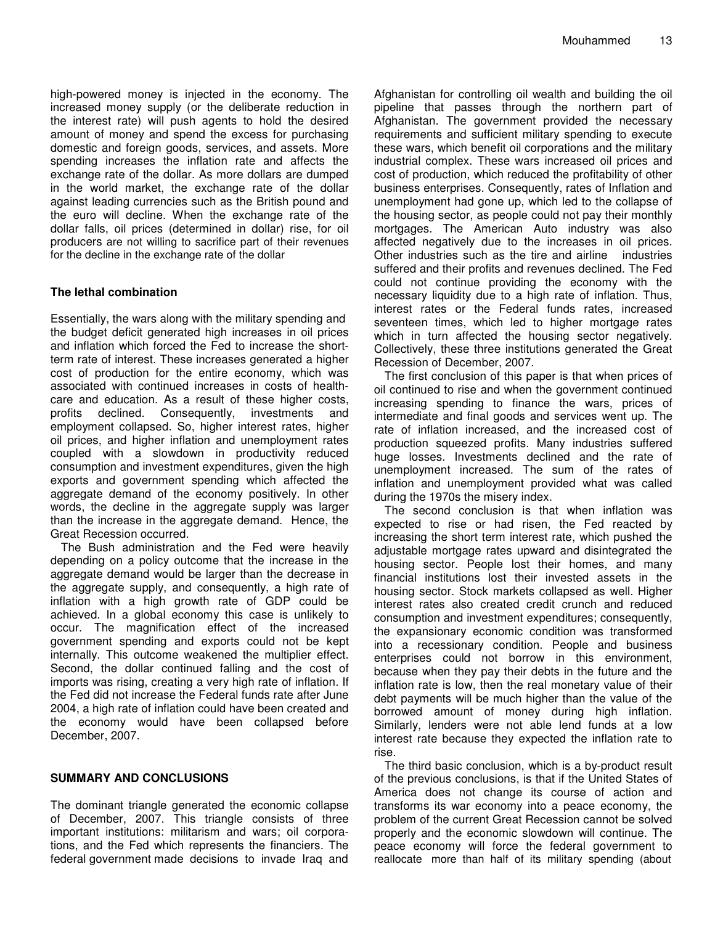high-powered money is injected in the economy. The increased money supply (or the deliberate reduction in the interest rate) will push agents to hold the desired amount of money and spend the excess for purchasing domestic and foreign goods, services, and assets. More spending increases the inflation rate and affects the exchange rate of the dollar. As more dollars are dumped in the world market, the exchange rate of the dollar against leading currencies such as the British pound and the euro will decline. When the exchange rate of the dollar falls, oil prices (determined in dollar) rise, for oil producers are not willing to sacrifice part of their revenues for the decline in the exchange rate of the dollar

## **The lethal combination**

Essentially, the wars along with the military spending and the budget deficit generated high increases in oil prices and inflation which forced the Fed to increase the shortterm rate of interest. These increases generated a higher cost of production for the entire economy, which was associated with continued increases in costs of healthcare and education. As a result of these higher costs, profits declined. Consequently, investments and employment collapsed. So, higher interest rates, higher oil prices, and higher inflation and unemployment rates coupled with a slowdown in productivity reduced consumption and investment expenditures, given the high exports and government spending which affected the aggregate demand of the economy positively. In other words, the decline in the aggregate supply was larger than the increase in the aggregate demand. Hence, the Great Recession occurred.

The Bush administration and the Fed were heavily depending on a policy outcome that the increase in the aggregate demand would be larger than the decrease in the aggregate supply, and consequently, a high rate of inflation with a high growth rate of GDP could be achieved. In a global economy this case is unlikely to occur. The magnification effect of the increased government spending and exports could not be kept internally. This outcome weakened the multiplier effect. Second, the dollar continued falling and the cost of imports was rising, creating a very high rate of inflation. If the Fed did not increase the Federal funds rate after June 2004, a high rate of inflation could have been created and the economy would have been collapsed before December, 2007.

#### **SUMMARY AND CONCLUSIONS**

The dominant triangle generated the economic collapse of December, 2007. This triangle consists of three important institutions: militarism and wars; oil corporations, and the Fed which represents the financiers. The federal government made decisions to invade Iraq and

Afghanistan for controlling oil wealth and building the oil pipeline that passes through the northern part of Afghanistan. The government provided the necessary requirements and sufficient military spending to execute these wars, which benefit oil corporations and the military industrial complex. These wars increased oil prices and cost of production, which reduced the profitability of other business enterprises. Consequently, rates of Inflation and unemployment had gone up, which led to the collapse of the housing sector, as people could not pay their monthly mortgages. The American Auto industry was also affected negatively due to the increases in oil prices. Other industries such as the tire and airline industries suffered and their profits and revenues declined. The Fed could not continue providing the economy with the necessary liquidity due to a high rate of inflation. Thus, interest rates or the Federal funds rates, increased seventeen times, which led to higher mortgage rates which in turn affected the housing sector negatively. Collectively, these three institutions generated the Great Recession of December, 2007.

The first conclusion of this paper is that when prices of oil continued to rise and when the government continued increasing spending to finance the wars, prices of intermediate and final goods and services went up. The rate of inflation increased, and the increased cost of production squeezed profits. Many industries suffered huge losses. Investments declined and the rate of unemployment increased. The sum of the rates of inflation and unemployment provided what was called during the 1970s the misery index.

The second conclusion is that when inflation was expected to rise or had risen, the Fed reacted by increasing the short term interest rate, which pushed the adjustable mortgage rates upward and disintegrated the housing sector. People lost their homes, and many financial institutions lost their invested assets in the housing sector. Stock markets collapsed as well. Higher interest rates also created credit crunch and reduced consumption and investment expenditures; consequently, the expansionary economic condition was transformed into a recessionary condition. People and business enterprises could not borrow in this environment, because when they pay their debts in the future and the inflation rate is low, then the real monetary value of their debt payments will be much higher than the value of the borrowed amount of money during high inflation. Similarly, lenders were not able lend funds at a low interest rate because they expected the inflation rate to rise.

The third basic conclusion, which is a by-product result of the previous conclusions, is that if the United States of America does not change its course of action and transforms its war economy into a peace economy, the problem of the current Great Recession cannot be solved properly and the economic slowdown will continue. The peace economy will force the federal government to reallocate more than half of its military spending (about